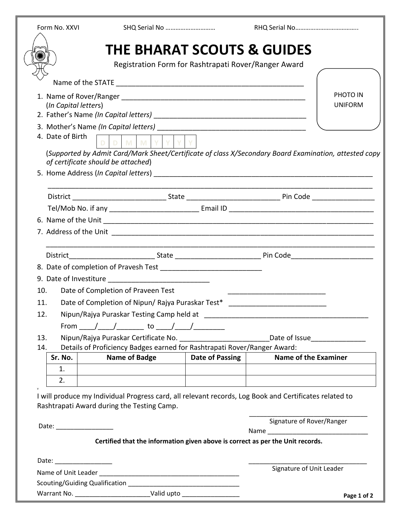| Form No. XXVI                      | SHQ Serial No                                                                                          |                                                      |                             |                                |
|------------------------------------|--------------------------------------------------------------------------------------------------------|------------------------------------------------------|-----------------------------|--------------------------------|
|                                    | <b>THE BHARAT SCOUTS &amp; GUIDES</b>                                                                  |                                                      |                             |                                |
|                                    |                                                                                                        | Registration Form for Rashtrapati Rover/Ranger Award |                             |                                |
|                                    |                                                                                                        |                                                      |                             |                                |
|                                    |                                                                                                        |                                                      |                             |                                |
| (In Capital letters)               |                                                                                                        |                                                      |                             | PHOTO IN<br><b>UNIFORM</b>     |
|                                    |                                                                                                        |                                                      |                             |                                |
|                                    |                                                                                                        |                                                      |                             |                                |
| 4. Date of Birth                   | DMMY                                                                                                   |                                                      |                             |                                |
|                                    | (Supported by Admit Card/Mark Sheet/Certificate of class X/Secondary Board Examination, attested copy  |                                                      |                             |                                |
| of certificate should be attached) |                                                                                                        |                                                      |                             |                                |
|                                    |                                                                                                        |                                                      |                             |                                |
|                                    |                                                                                                        |                                                      |                             |                                |
|                                    |                                                                                                        |                                                      |                             |                                |
|                                    |                                                                                                        |                                                      |                             |                                |
|                                    |                                                                                                        |                                                      |                             |                                |
|                                    |                                                                                                        |                                                      |                             |                                |
|                                    |                                                                                                        |                                                      |                             |                                |
|                                    |                                                                                                        |                                                      |                             |                                |
|                                    |                                                                                                        |                                                      |                             |                                |
| 10.                                | Date of Completion of Praveen Test                                                                     |                                                      |                             |                                |
| 11.                                | Date of Completion of Nipun/ Rajya Puraskar Test*                                                      |                                                      |                             |                                |
| 12.                                |                                                                                                        |                                                      |                             |                                |
|                                    | From _____/ _____/ ________ to _____/ _____/ _________                                                 |                                                      |                             |                                |
| 13.                                |                                                                                                        |                                                      |                             | Date of Issue_________________ |
| 14.                                | Details of Proficiency Badges earned for Rashtrapati Rover/Ranger Award:                               |                                                      |                             |                                |
| Sr. No.                            | <b>Name of Badge</b>                                                                                   | Date of Passing                                      | <b>Name of the Examiner</b> |                                |
| 1.                                 |                                                                                                        |                                                      |                             |                                |
| 2.                                 |                                                                                                        |                                                      |                             |                                |
|                                    | I will produce my Individual Progress card, all relevant records, Log Book and Certificates related to |                                                      |                             |                                |
|                                    | Rashtrapati Award during the Testing Camp.                                                             |                                                      |                             |                                |
|                                    |                                                                                                        |                                                      | Signature of Rover/Ranger   |                                |
| Date: _________________            |                                                                                                        |                                                      |                             |                                |
|                                    | Certified that the information given above is correct as per the Unit records.                         |                                                      |                             |                                |
| Date: _________________            |                                                                                                        |                                                      |                             |                                |
|                                    |                                                                                                        |                                                      | Signature of Unit Leader    |                                |
|                                    |                                                                                                        |                                                      |                             |                                |
|                                    | Warrant No. _____________________________Valid upto ____________________________                       |                                                      |                             | Page 1 of 2                    |

 $\left(\right)$